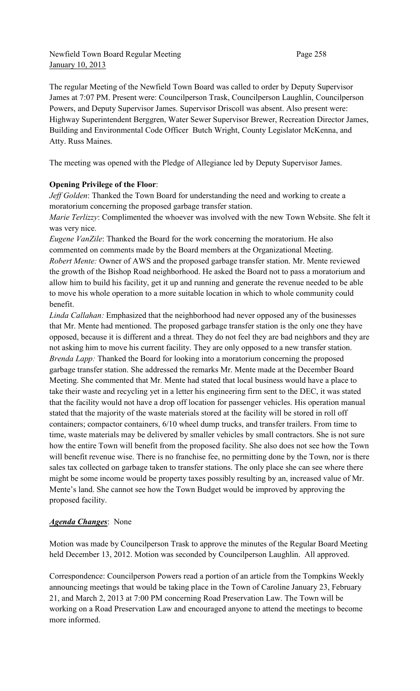Newfield Town Board Regular Meeting Page 258 January 10, 2013

The regular Meeting of the Newfield Town Board was called to order by Deputy Supervisor James at 7:07 PM. Present were: Councilperson Trask, Councilperson Laughlin, Councilperson Powers, and Deputy Supervisor James. Supervisor Driscoll was absent. Also present were: Highway Superintendent Berggren, Water Sewer Supervisor Brewer, Recreation Director James, Building and Environmental Code Officer Butch Wright, County Legislator McKenna, and Atty. Russ Maines.

The meeting was opened with the Pledge of Allegiance led by Deputy Supervisor James.

## **Opening Privilege of the Floor**:

*Jeff Golden*: Thanked the Town Board for understanding the need and working to create a moratorium concerning the proposed garbage transfer station.

*Marie Terlizzy*: Complimented the whoever was involved with the new Town Website. She felt it was very nice.

*Eugene VanZile*: Thanked the Board for the work concerning the moratorium. He also commented on comments made by the Board members at the Organizational Meeting. *Robert Mente:* Owner of AWS and the proposed garbage transfer station. Mr. Mente reviewed the growth of the Bishop Road neighborhood. He asked the Board not to pass a moratorium and allow him to build his facility, get it up and running and generate the revenue needed to be able to move his whole operation to a more suitable location in which to whole community could benefit.

*Linda Callahan:* Emphasized that the neighborhood had never opposed any of the businesses that Mr. Mente had mentioned. The proposed garbage transfer station is the only one they have opposed, because it is different and a threat. They do not feel they are bad neighbors and they are not asking him to move his current facility. They are only opposed to a new transfer station. *Brenda Lapp:* Thanked the Board for looking into a moratorium concerning the proposed garbage transfer station. She addressed the remarks Mr. Mente made at the December Board Meeting. She commented that Mr. Mente had stated that local business would have a place to take their waste and recycling yet in a letter his engineering firm sent to the DEC, it was stated that the facility would not have a drop off location for passenger vehicles. His operation manual stated that the majority of the waste materials stored at the facility will be stored in roll off containers; compactor containers, 6/10 wheel dump trucks, and transfer trailers. From time to time, waste materials may be delivered by smaller vehicles by small contractors. She is not sure how the entire Town will benefit from the proposed facility. She also does not see how the Town will benefit revenue wise. There is no franchise fee, no permitting done by the Town, nor is there sales tax collected on garbage taken to transfer stations. The only place she can see where there might be some income would be property taxes possibly resulting by an, increased value of Mr. Mente's land. She cannot see how the Town Budget would be improved by approving the proposed facility.

#### *Agenda Changes*: None

Motion was made by Councilperson Trask to approve the minutes of the Regular Board Meeting held December 13, 2012. Motion was seconded by Councilperson Laughlin. All approved.

Correspondence: Councilperson Powers read a portion of an article from the Tompkins Weekly announcing meetings that would be taking place in the Town of Caroline January 23, February 21, and March 2, 2013 at 7:00 PM concerning Road Preservation Law. The Town will be working on a Road Preservation Law and encouraged anyone to attend the meetings to become more informed.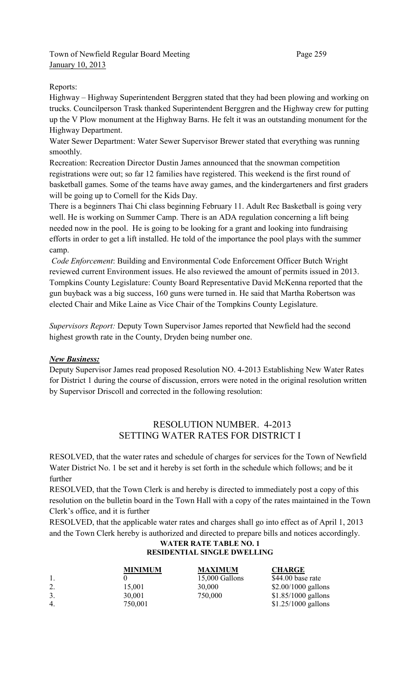## Town of Newfield Regular Board Meeting Page 259 January 10, 2013

## Reports:

Highway – Highway Superintendent Berggren stated that they had been plowing and working on trucks. Councilperson Trask thanked Superintendent Berggren and the Highway crew for putting up the V Plow monument at the Highway Barns. He felt it was an outstanding monument for the Highway Department.

Water Sewer Department: Water Sewer Supervisor Brewer stated that everything was running smoothly.

Recreation: Recreation Director Dustin James announced that the snowman competition registrations were out; so far 12 families have registered. This weekend is the first round of basketball games. Some of the teams have away games, and the kindergarteners and first graders will be going up to Cornell for the Kids Day.

There is a beginners Thai Chi class beginning February 11. Adult Rec Basketball is going very well. He is working on Summer Camp. There is an ADA regulation concerning a lift being needed now in the pool. He is going to be looking for a grant and looking into fundraising efforts in order to get a lift installed. He told of the importance the pool plays with the summer camp.

*Code Enforcement*: Building and Environmental Code Enforcement Officer Butch Wright reviewed current Environment issues. He also reviewed the amount of permits issued in 2013. Tompkins County Legislature: County Board Representative David McKenna reported that the gun buyback was a big success, 160 guns were turned in. He said that Martha Robertson was elected Chair and Mike Laine as Vice Chair of the Tompkins County Legislature.

*Supervisors Report:* Deputy Town Supervisor James reported that Newfield had the second highest growth rate in the County, Dryden being number one.

## *New Business:*

Deputy Supervisor James read proposed Resolution NO. 4-2013 Establishing New Water Rates for District 1 during the course of discussion, errors were noted in the original resolution written by Supervisor Driscoll and corrected in the following resolution:

# RESOLUTION NUMBER. 4-2013 SETTING WATER RATES FOR DISTRICT I

RESOLVED, that the water rates and schedule of charges for services for the Town of Newfield Water District No. 1 be set and it hereby is set forth in the schedule which follows; and be it further

RESOLVED, that the Town Clerk is and hereby is directed to immediately post a copy of this resolution on the bulletin board in the Town Hall with a copy of the rates maintained in the Town Clerk's office, and it is further

RESOLVED, that the applicable water rates and charges shall go into effect as of April 1, 2013 and the Town Clerk hereby is authorized and directed to prepare bills and notices accordingly.

#### **WATER RATE TABLE NO. 1 RESIDENTIAL SINGLE DWELLING**

|     | <b>MINIMUM</b> | <b>MAXIMUM</b> | <b>CHARGE</b>        |
|-----|----------------|----------------|----------------------|
| -1. |                | 15,000 Gallons | \$44.00 base rate    |
| 2.  | 15,001         | 30,000         | $$2.00/1000$ gallons |
| 3.  | 30,001         | 750,000        | $$1.85/1000$ gallons |
| 4.  | 750,001        |                | $$1.25/1000$ gallons |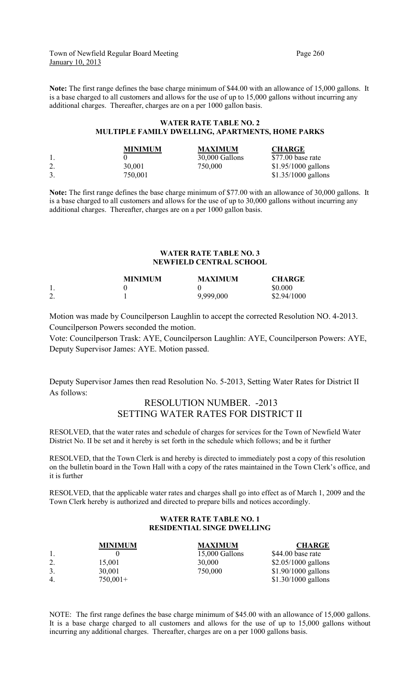Town of Newfield Regular Board Meeting Page 260 January 10, 2013

**Note:** The first range defines the base charge minimum of \$44.00 with an allowance of 15,000 gallons. It is a base charged to all customers and allows for the use of up to 15,000 gallons without incurring any additional charges. Thereafter, charges are on a per 1000 gallon basis.

#### **WATER RATE TABLE NO. 2 MULTIPLE FAMILY DWELLING, APARTMENTS, HOME PARKS**

|     | <b>MINIMUM</b> | <b>MAXIMUM</b> | <b>CHARGE</b>        |
|-----|----------------|----------------|----------------------|
|     |                | 30,000 Gallons | \$77.00 base rate    |
| ـ ـ | 30,001         | 750,000        | $$1.95/1000$ gallons |
|     | 750,001        |                | $$1.35/1000$ gallons |

**Note:** The first range defines the base charge minimum of \$77.00 with an allowance of 30,000 gallons. It is a base charged to all customers and allows for the use of up to 30,000 gallons without incurring any additional charges. Thereafter, charges are on a per 1000 gallon basis.

#### **WATER RATE TABLE NO. 3 NEWFIELD CENTRAL SCHOOL**

|         | <b>MINIMUM</b> | <b>MAXIMUM</b> | <b>CHARGE</b> |
|---------|----------------|----------------|---------------|
|         |                |                | \$0.000       |
| ာ<br>∠. |                | 9,999,000      | \$2.94/1000   |

Motion was made by Councilperson Laughlin to accept the corrected Resolution NO. 4-2013. Councilperson Powers seconded the motion.

Vote: Councilperson Trask: AYE, Councilperson Laughlin: AYE, Councilperson Powers: AYE, Deputy Supervisor James: AYE. Motion passed.

Deputy Supervisor James then read Resolution No. 5-2013, Setting Water Rates for District II As follows:

#### RESOLUTION NUMBER. -2013 SETTING WATER RATES FOR DISTRICT II

RESOLVED, that the water rates and schedule of charges for services for the Town of Newfield Water District No. II be set and it hereby is set forth in the schedule which follows; and be it further

RESOLVED, that the Town Clerk is and hereby is directed to immediately post a copy of this resolution on the bulletin board in the Town Hall with a copy of the rates maintained in the Town Clerk's office, and it is further

RESOLVED, that the applicable water rates and charges shall go into effect as of March 1, 2009 and the Town Clerk hereby is authorized and directed to prepare bills and notices accordingly.

#### **WATER RATE TABLE NO. 1 RESIDENTIAL SINGE DWELLING**

|                  | <b>MINIMUM</b> | <b>MAXIMUM</b> | <b>CHARGE</b>        |
|------------------|----------------|----------------|----------------------|
| -1.              |                | 15,000 Gallons | \$44.00 base rate    |
| 2.               | 15,001         | 30,000         | $$2.05/1000$ gallons |
| 3.               | 30,001         | 750,000        | $$1.90/1000$ gallons |
| $\overline{4}$ . | $750,001+$     |                | $$1.30/1000$ gallons |

NOTE: The first range defines the base charge minimum of \$45.00 with an allowance of 15,000 gallons. It is a base charge charged to all customers and allows for the use of up to 15,000 gallons without incurring any additional charges. Thereafter, charges are on a per 1000 gallons basis.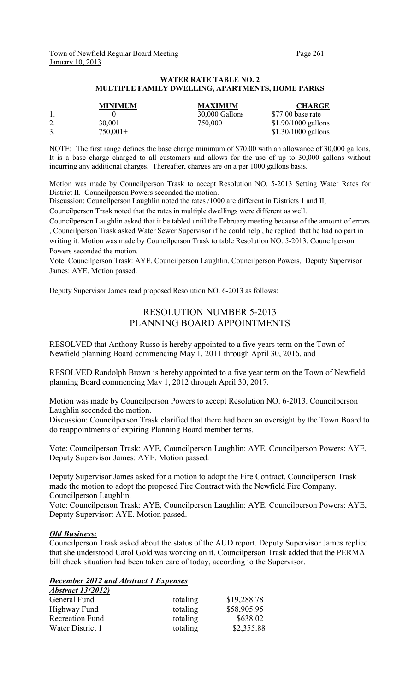#### **WATER RATE TABLE NO. 2 MULTIPLE FAMILY DWELLING, APARTMENTS, HOME PARKS**

|    | <b>MINIMUM</b> | <b>MAXIMUM</b> | <b>CHARGE</b>        |
|----|----------------|----------------|----------------------|
|    |                | 30,000 Gallons | \$77.00 base rate    |
| 4. | 30.001         | 750,000        | $$1.90/1000$ gallons |
|    | $750,001+$     |                | $$1.30/1000$ gallons |

NOTE: The first range defines the base charge minimum of \$70.00 with an allowance of 30,000 gallons. It is a base charge charged to all customers and allows for the use of up to 30,000 gallons without incurring any additional charges. Thereafter, charges are on a per 1000 gallons basis.

Motion was made by Councilperson Trask to accept Resolution NO. 5-2013 Setting Water Rates for District II. Councilperson Powers seconded the motion.

Discussion: Councilperson Laughlin noted the rates /1000 are different in Districts 1 and II, Councilperson Trask noted that the rates in multiple dwellings were different as well.

Councilperson Laughlin asked that it be tabled until the February meeting because of the amount of errors , Councilperson Trask asked Water Sewer Supervisor if he could help , he replied that he had no part in writing it. Motion was made by Councilperson Trask to table Resolution NO. 5-2013. Councilperson Powers seconded the motion.

Vote: Councilperson Trask: AYE, Councilperson Laughlin, Councilperson Powers, Deputy Supervisor James: AYE. Motion passed.

Deputy Supervisor James read proposed Resolution NO. 6-2013 as follows:

## RESOLUTION NUMBER 5-2013 PLANNING BOARD APPOINTMENTS

RESOLVED that Anthony Russo is hereby appointed to a five years term on the Town of Newfield planning Board commencing May 1, 2011 through April 30, 2016, and

RESOLVED Randolph Brown is hereby appointed to a five year term on the Town of Newfield planning Board commencing May 1, 2012 through April 30, 2017.

Motion was made by Councilperson Powers to accept Resolution NO. 6-2013. Councilperson Laughlin seconded the motion.

Discussion: Councilperson Trask clarified that there had been an oversight by the Town Board to do reappointments of expiring Planning Board member terms.

Vote: Councilperson Trask: AYE, Councilperson Laughlin: AYE, Councilperson Powers: AYE, Deputy Supervisor James: AYE. Motion passed.

Deputy Supervisor James asked for a motion to adopt the Fire Contract. Councilperson Trask made the motion to adopt the proposed Fire Contract with the Newfield Fire Company. Councilperson Laughlin.

Vote: Councilperson Trask: AYE, Councilperson Laughlin: AYE, Councilperson Powers: AYE, Deputy Supervisor: AYE. Motion passed.

#### *Old Business:*

Councilperson Trask asked about the status of the AUD report. Deputy Supervisor James replied that she understood Carol Gold was working on it. Councilperson Trask added that the PERMA bill check situation had been taken care of today, according to the Supervisor.

#### *December 2012 and Abstract 1 Expenses Abstract 13(2012)*

| totaling | \$19,288.78 |
|----------|-------------|
| totaling | \$58,905.95 |
| totaling | \$638.02    |
| totaling | \$2,355.88  |
|          |             |